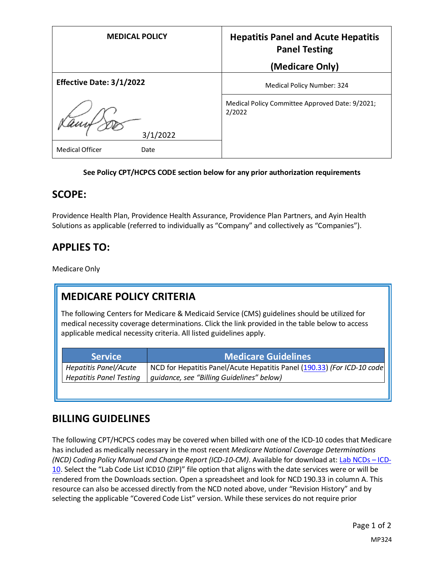| <b>MEDICAL POLICY</b>          | <b>Hepatitis Panel and Acute Hepatitis</b><br><b>Panel Testing</b> |
|--------------------------------|--------------------------------------------------------------------|
|                                | (Medicare Only)                                                    |
| Effective Date: 3/1/2022       | Medical Policy Number: 324                                         |
| 3/1/2022                       | Medical Policy Committee Approved Date: 9/2021;<br>2/2022          |
| <b>Medical Officer</b><br>Date |                                                                    |

### **See Policy CPT/HCPCS CODE section below for any prior authorization requirements**

### **SCOPE:**

Providence Health Plan, Providence Health Assurance, Providence Plan Partners, and Ayin Health Solutions as applicable (referred to individually as "Company" and collectively as "Companies").

# **APPLIES TO:**

Medicare Only

# **MEDICARE POLICY CRITERIA**

The following Centers for Medicare & Medicaid Service (CMS) guidelines should be utilized for medical necessity coverage determinations. Click the link provided in the table below to access applicable medical necessity criteria. All listed guidelines apply.

| <b>Service</b>                 | <b>Medicare Guidelines</b>                                              |
|--------------------------------|-------------------------------------------------------------------------|
| <b>Hepatitis Panel/Acute</b>   | NCD for Hepatitis Panel/Acute Hepatitis Panel (190.33) (For ICD-10 code |
| <b>Hepatitis Panel Testing</b> | guidance, see "Billing Guidelines" below)                               |

### **BILLING GUIDELINES**

The following CPT/HCPCS codes may be covered when billed with one of the ICD-10 codes that Medicare has included as medically necessary in the most recent *Medicare National Coverage Determinations (NCD) Coding Policy Manual and Change Report (ICD-10-CM)*. Available for download at: [Lab NCDs](https://www.cms.gov/Medicare/Coverage/CoverageGenInfo/LabNCDsICD10) – ICD-[10.](https://www.cms.gov/Medicare/Coverage/CoverageGenInfo/LabNCDsICD10) Select the "Lab Code List ICD10 (ZIP)" file option that aligns with the date services were or will be rendered from the Downloads section. Open a spreadsheet and look for NCD 190.33 in column A. This resource can also be accessed directly from the NCD noted above, under "Revision History" and by selecting the applicable "Covered Code List" version. While these services do not require prior